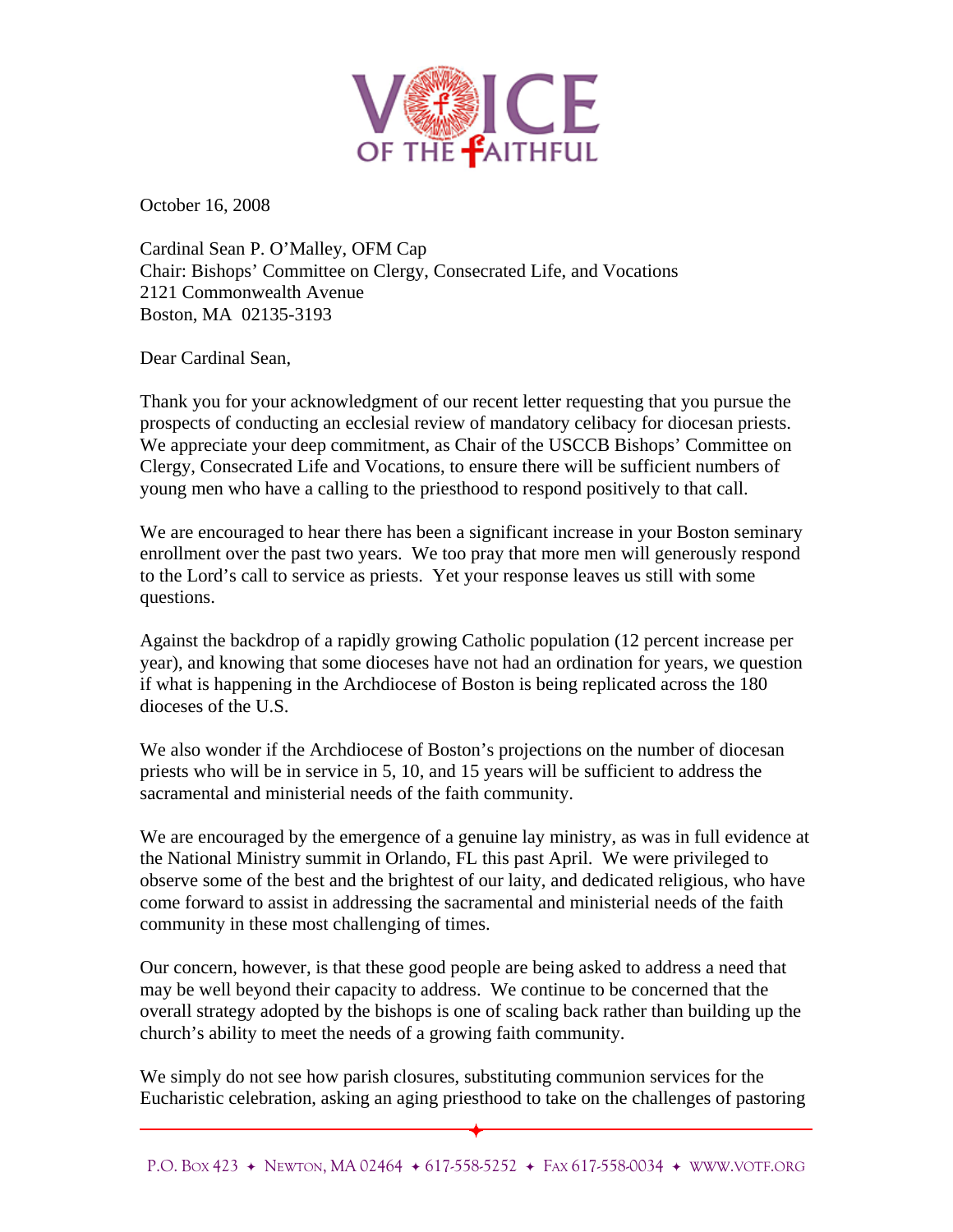

October 16, 2008

Cardinal Sean P. O'Malley, OFM Cap Chair: Bishops' Committee on Clergy, Consecrated Life, and Vocations 2121 Commonwealth Avenue Boston, MA 02135-3193

Dear Cardinal Sean,

Thank you for your acknowledgment of our recent letter requesting that you pursue the prospects of conducting an ecclesial review of mandatory celibacy for diocesan priests. We appreciate your deep commitment, as Chair of the USCCB Bishops' Committee on Clergy, Consecrated Life and Vocations, to ensure there will be sufficient numbers of young men who have a calling to the priesthood to respond positively to that call.

We are encouraged to hear there has been a significant increase in your Boston seminary enrollment over the past two years. We too pray that more men will generously respond to the Lord's call to service as priests. Yet your response leaves us still with some questions.

Against the backdrop of a rapidly growing Catholic population (12 percent increase per year), and knowing that some dioceses have not had an ordination for years, we question if what is happening in the Archdiocese of Boston is being replicated across the 180 dioceses of the U.S.

We also wonder if the Archdiocese of Boston's projections on the number of diocesan priests who will be in service in 5, 10, and 15 years will be sufficient to address the sacramental and ministerial needs of the faith community.

We are encouraged by the emergence of a genuine lay ministry, as was in full evidence at the National Ministry summit in Orlando, FL this past April. We were privileged to observe some of the best and the brightest of our laity, and dedicated religious, who have come forward to assist in addressing the sacramental and ministerial needs of the faith community in these most challenging of times.

Our concern, however, is that these good people are being asked to address a need that may be well beyond their capacity to address. We continue to be concerned that the overall strategy adopted by the bishops is one of scaling back rather than building up the church's ability to meet the needs of a growing faith community.

We simply do not see how parish closures, substituting communion services for the Eucharistic celebration, asking an aging priesthood to take on the challenges of pastoring

 $\overline{\phantom{0}}$